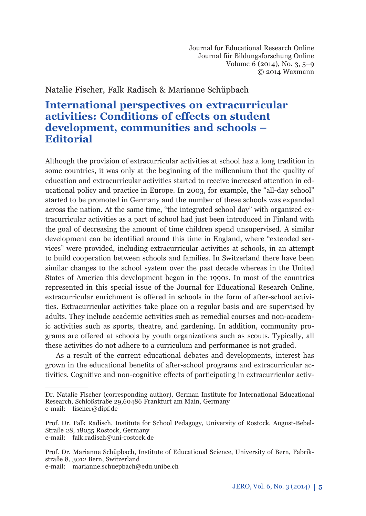Journal for Educational Research Online Journal für Bildungsforschung Online Volume 6 (2014), No. 3, 5–9 © 2014 Waxmann

Natalie Fischer, Falk Radisch & Marianne Schüpbach

# **International perspectives on extracurricular activities: Conditions of eff ects on student development, communities and schools – Editorial**

Although the provision of extracurricular activities at school has a long tradition in some countries, it was only at the beginning of the millennium that the quality of education and extracurricular activities started to receive increased attention in educational policy and practice in Europe. In 2003, for example, the "all-day school" started to be promoted in Germany and the number of these schools was expanded across the nation. At the same time, "the integrated school day" with organized extracurricular activities as a part of school had just been introduced in Finland with the goal of decreasing the amount of time children spend unsupervised. A similar development can be identified around this time in England, where "extended services" were provided, including extracurricular activities at schools, in an attempt to build cooperation between schools and families. In Switzerland there have been similar changes to the school system over the past decade whereas in the United States of America this development began in the 1990s. In most of the countries represented in this special issue of the Journal for Educational Research Online, extracurricular enrichment is offered in schools in the form of after-school activities. Extracurricular activities take place on a regular basis and are supervised by adults. They include academic activities such as remedial courses and non-academic activities such as sports, theatre, and gardening. In addition, community programs are offered at schools by youth organizations such as scouts. Typically, all these activities do not adhere to a curriculum and performance is not graded.

As a result of the current educational debates and developments, interest has grown in the educational benefits of after-school programs and extracurricular activities. Cognitive and non-cognitive effects of participating in extracurricular activ-

Dr. Natalie Fischer (corresponding author), German Institute for International Educational Research, Schloßstraße 29,60486 Frankfurt am Main, Germany e-mail: fischer@dipf.de

Prof. Dr. Falk Radisch, Institute for School Pedagogy, University of Rostock, August-Bebel-Straße 28, 18055 Rostock, Germany e-mail: falk.radisch@uni-rostock.de

Prof. Dr. Marianne Schüpbach, Institute of Educational Science, University of Bern, Fabrikstraße 8, 3012 Bern, Switzerland

e-mail: marianne.schuepbach@edu.unibe.ch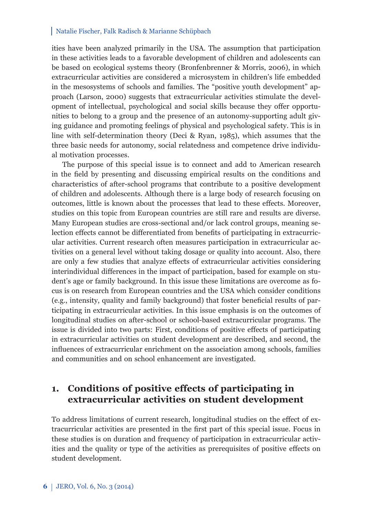#### Natalie Fischer, Falk Radisch & Marianne Schüpbach

ities have been analyzed primarily in the USA. The assumption that participation in these activities leads to a favorable development of children and adolescents can be based on ecological systems theory (Bronfenbrenner & Morris, 2006), in which extracurricular activities are considered a microsystem in children's life embedded in the mesosystems of schools and families. The "positive youth development" approach (Larson, 2000) suggests that extracurricular activities stimulate the development of intellectual, psychological and social skills because they offer opportunities to belong to a group and the presence of an autonomy-supporting adult giving guidance and promoting feelings of physical and psychological safety. This is in line with self-determination theory (Deci & Ryan, 1985), which assumes that the three basic needs for autonomy, social relatedness and competence drive individual motivation processes.

The purpose of this special issue is to connect and add to American research in the field by presenting and discussing empirical results on the conditions and characteristics of after-school programs that contribute to a positive development of children and adolescents. Although there is a large body of research focusing on outcomes, little is known about the processes that lead to these effects. Moreover, studies on this topic from European countries are still rare and results are diverse. Many European studies are cross-sectional and/or lack control groups, meaning selection effects cannot be differentiated from benefits of participating in extracurricular activities. Current research often measures participation in extracurricular activities on a general level without taking dosage or quality into account. Also, there are only a few studies that analyze effects of extracurricular activities considering interindividual differences in the impact of participation, based for example on student's age or family background. In this issue these limitations are overcome as focus is on research from European countries and the USA which consider conditions (e.g., intensity, quality and family background) that foster beneficial results of participating in extracurricular activities. In this issue emphasis is on the outcomes of longitudinal studies on after-school or school-based extracurricular programs. The issue is divided into two parts: First, conditions of positive effects of participating in extracurricular activities on student development are described, and second, the influences of extracurricular enrichment on the association among schools, families and communities and on school enhancement are investigated.

## 1. Conditions of positive effects of participating in **extracurricular activities on student development**

To address limitations of current research, longitudinal studies on the effect of extracurricular activities are presented in the first part of this special issue. Focus in these studies is on duration and frequency of participation in extracurricular activities and the quality or type of the activities as prerequisites of positive effects on student development.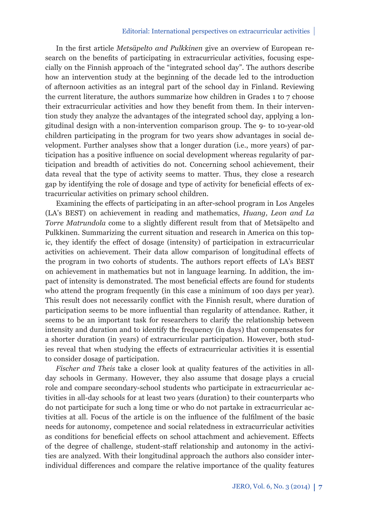#### Editorial: International perspectives on extracurricular activities

In the first article *Metsäpelto and Pulkkinen* give an overview of European research on the benefits of participating in extracurricular activities, focusing especially on the Finnish approach of the "integrated school day". The authors describe how an intervention study at the beginning of the decade led to the introduction of afternoon activities as an integral part of the school day in Finland. Reviewing the current literature, the authors summarize how children in Grades 1 to 7 choose their extracurricular activities and how they benefit from them. In their intervention study they analyze the advantages of the integrated school day, applying a longitudinal design with a non-intervention comparison group. The 9- to 10-year-old children participating in the program for two years show advantages in social development. Further analyses show that a longer duration (i.e., more years) of participation has a positive influence on social development whereas regularity of participation and breadth of activities do not. Concerning school achievement, their data reveal that the type of activity seems to matter. Thus, they close a research gap by identifying the role of dosage and type of activity for beneficial effects of extracurricular activities on primary school children.

Examining the effects of participating in an after-school program in Los Angeles (LA's BEST) on achievement in reading and mathematics, *Huang, Leon and La Torre Matrundola* come to a slightly different result from that of Metsäpelto and Pulkkinen. Summarizing the current situation and research in America on this topic, they identify the effect of dosage (intensity) of participation in extracurricular activities on achievement. Their data allow comparison of longitudinal effects of the program in two cohorts of students. The authors report effects of LA's BEST on achievement in mathematics but not in language learning. In addition, the impact of intensity is demonstrated. The most beneficial effects are found for students who attend the program frequently (in this case a minimum of 100 days per year). This result does not necessarily conflict with the Finnish result, where duration of participation seems to be more influential than regularity of attendance. Rather, it seems to be an important task for researchers to clarify the relationship between intensity and duration and to identify the frequency (in days) that compensates for a shorter duration (in years) of extracurricular participation. However, both studies reveal that when studying the effects of extracurricular activities it is essential to consider dosage of participation.

*Fischer and Theis* take a closer look at quality features of the activities in allday schools in Germany. However, they also assume that dosage plays a crucial role and compare secondary-school students who participate in extracurricular activities in all-day schools for at least two years (duration) to their counterparts who do not participate for such a long time or who do not partake in extracurricular activities at all. Focus of the article is on the influence of the fulfilment of the basic needs for autonomy, competence and social relatedness in extracurricular activities as conditions for beneficial effects on school attachment and achievement. Effects of the degree of challenge, student-staff relationship and autonomy in the activities are analyzed. With their longitudinal approach the authors also consider interindividual differences and compare the relative importance of the quality features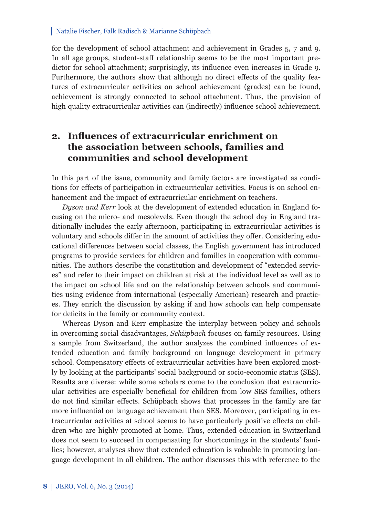#### Natalie Fischer, Falk Radisch & Marianne Schüpbach

for the development of school attachment and achievement in Grades 5, 7 and 9. In all age groups, student-staff relationship seems to be the most important predictor for school attachment; surprisingly, its influence even increases in Grade 9. Furthermore, the authors show that although no direct effects of the quality features of extracurricular activities on school achievement (grades) can be found, achievement is strongly connected to school attachment. Thus, the provision of high quality extracurricular activities can (indirectly) influence school achievement.

### **2.** Influences of extracurricular enrichment on **the association between schools, families and communities and school development**

In this part of the issue, community and family factors are investigated as conditions for effects of participation in extracurricular activities. Focus is on school enhancement and the impact of extracurricular enrichment on teachers.

*Dyson and Kerr* look at the development of extended education in England focusing on the micro- and mesolevels. Even though the school day in England traditionally includes the early afternoon, participating in extracurricular activities is voluntary and schools differ in the amount of activities they offer. Considering educational differences between social classes, the English government has introduced programs to provide services for children and families in cooperation with communities. The authors describe the constitution and development of "extended services" and refer to their impact on children at risk at the individual level as well as to the impact on school life and on the relationship between schools and communities using evidence from international (especially American) research and practices. They enrich the discussion by asking if and how schools can help compensate for deficits in the family or community context.

Whereas Dyson and Kerr emphasize the interplay between policy and schools in overcoming social disadvantages, *Schüpbach* focuses on family resources. Using a sample from Switzerland, the author analyzes the combined influences of extended education and family background on language development in primary school. Compensatory effects of extracurricular activities have been explored mostly by looking at the participants' social background or socio-economic status (SES). Results are diverse: while some scholars come to the conclusion that extracurricular activities are especially beneficial for children from low SES families, others do not find similar effects. Schüpbach shows that processes in the family are far more influential on language achievement than SES. Moreover, participating in extracurricular activities at school seems to have particularly positive effects on children who are highly promoted at home. Thus, extended education in Switzerland does not seem to succeed in compensating for shortcomings in the students' families; however, analyses show that extended education is valuable in promoting language development in all children. The author discusses this with reference to the